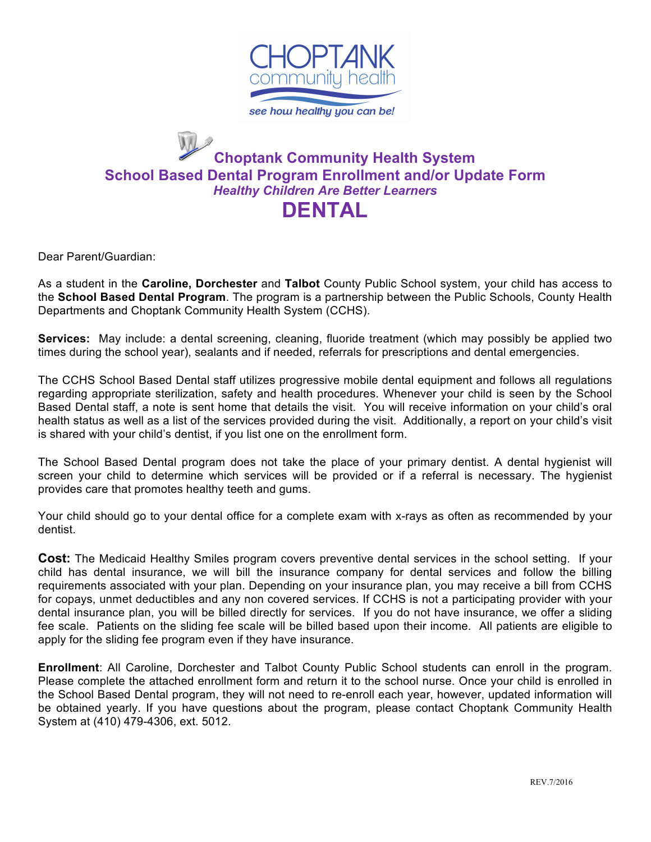

#### **Choptank Community Health System School Based Dental Program Enrollment and/or Update Form** *Healthy Children Are Better Learners* **DENTAL**

Dear Parent/Guardian:

As a student in the **Caroline, Dorchester** and **Talbot** County Public School system, your child has access to the **School Based Dental Program**. The program is a partnership between the Public Schools, County Health Departments and Choptank Community Health System (CCHS).

**Services:** May include: a dental screening, cleaning, fluoride treatment (which may possibly be applied two times during the school year), sealants and if needed, referrals for prescriptions and dental emergencies.

The CCHS School Based Dental staff utilizes progressive mobile dental equipment and follows all regulations regarding appropriate sterilization, safety and health procedures. Whenever your child is seen by the School Based Dental staff, a note is sent home that details the visit. You will receive information on your child's oral health status as well as a list of the services provided during the visit. Additionally, a report on your child's visit is shared with your child's dentist, if you list one on the enrollment form.

The School Based Dental program does not take the place of your primary dentist. A dental hygienist will screen your child to determine which services will be provided or if a referral is necessary. The hygienist provides care that promotes healthy teeth and gums.

Your child should go to your dental office for a complete exam with x-rays as often as recommended by your dentist.

**Cost:** The Medicaid Healthy Smiles program covers preventive dental services in the school setting. If your child has dental insurance, we will bill the insurance company for dental services and follow the billing requirements associated with your plan. Depending on your insurance plan, you may receive a bill from CCHS for copays, unmet deductibles and any non covered services. If CCHS is not a participating provider with your dental insurance plan, you will be billed directly for services. If you do not have insurance, we offer a sliding fee scale. Patients on the sliding fee scale will be billed based upon their income. All patients are eligible to apply for the sliding fee program even if they have insurance.

**Enrollment**: All Caroline, Dorchester and Talbot County Public School students can enroll in the program. Please complete the attached enrollment form and return it to the school nurse. Once your child is enrolled in the School Based Dental program, they will not need to re-enroll each year, however, updated information will be obtained yearly. If you have questions about the program, please contact Choptank Community Health System at (410) 479-4306, ext. 5012.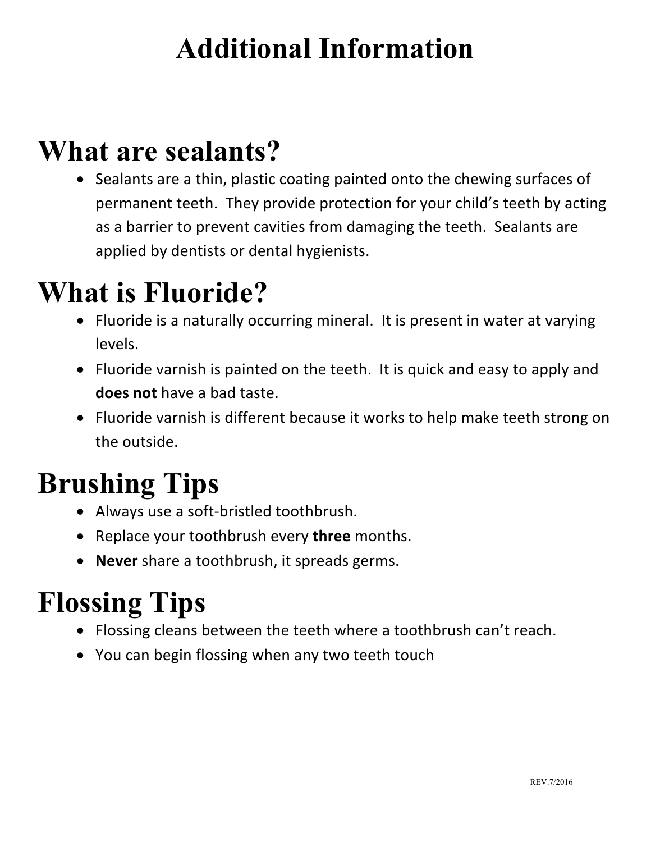### **Additional Information**

#### **What are sealants?**

• Sealants are a thin, plastic coating painted onto the chewing surfaces of permanent teeth. They provide protection for your child's teeth by acting as a barrier to prevent cavities from damaging the teeth. Sealants are applied by dentists or dental hygienists.

### **What is Fluoride?**

- Fluoride is a naturally occurring mineral. It is present in water at varying levels.
- Fluoride varnish is painted on the teeth. It is quick and easy to apply and **does not** have a bad taste.
- Fluoride varnish is different because it works to help make teeth strong on the outside.

## **Brushing Tips**

- Always use a soft-bristled toothbrush.
- Replace your toothbrush every three months.
- **Never** share a toothbrush, it spreads germs.

# **Flossing Tips**

- Flossing cleans between the teeth where a toothbrush can't reach.
- You can begin flossing when any two teeth touch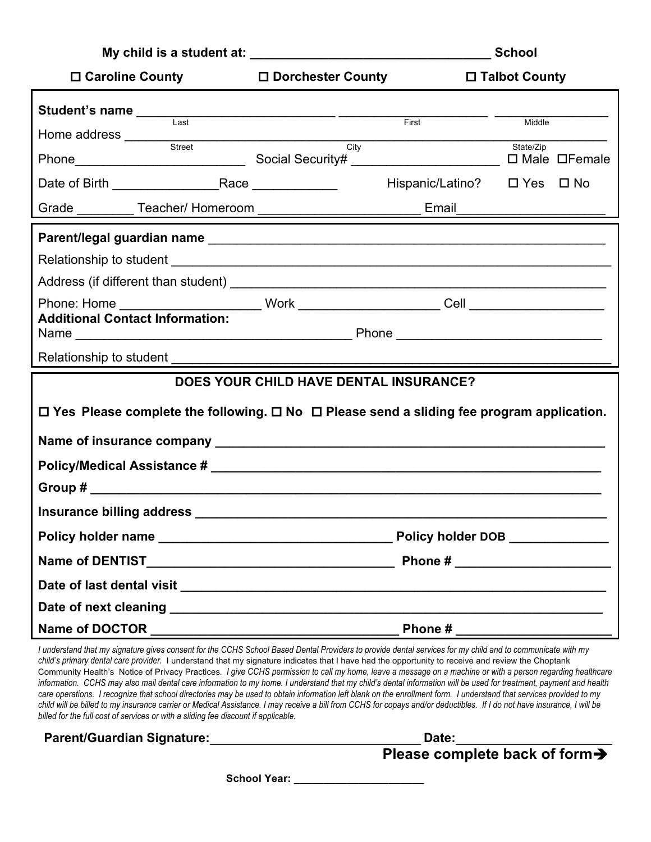|                                                                                                                                                                                                                                                                                                    |                                     | <b>School</b>                     |  |  |
|----------------------------------------------------------------------------------------------------------------------------------------------------------------------------------------------------------------------------------------------------------------------------------------------------|-------------------------------------|-----------------------------------|--|--|
| $\square$ Caroline County                                                                                                                                                                                                                                                                          | □ Dorchester County                 | □ Talbot County                   |  |  |
| Student's name<br>Last<br>Last<br>Last<br>Last<br>Last<br>Last<br>Last<br>Last<br>Last<br>Last<br>Last<br>Last<br>Last<br>Last<br>Last<br>Last<br>Last<br>Last<br>Last<br>Last<br>Last<br>Last<br>Last<br>Last<br>Last<br>Last<br>Last<br>Last<br>Last<br>Last<br>Last<br><br><br><br><br><br><br> |                                     | First<br>Middle                   |  |  |
| Home address Street                                                                                                                                                                                                                                                                                | $\overline{\overline{\text{Citv}}}$ | State/Zip                         |  |  |
|                                                                                                                                                                                                                                                                                                    |                                     | Hispanic/Latino? □ Yes □ No       |  |  |
| Grade __________ Teacher/ Homeroom __________________________________ Email_                                                                                                                                                                                                                       |                                     |                                   |  |  |
|                                                                                                                                                                                                                                                                                                    |                                     |                                   |  |  |
|                                                                                                                                                                                                                                                                                                    |                                     |                                   |  |  |
|                                                                                                                                                                                                                                                                                                    |                                     |                                   |  |  |
| <b>Additional Contact Information:</b>                                                                                                                                                                                                                                                             |                                     |                                   |  |  |
|                                                                                                                                                                                                                                                                                                    |                                     |                                   |  |  |
| <b>DOES YOUR CHILD HAVE DENTAL INSURANCE?</b>                                                                                                                                                                                                                                                      |                                     |                                   |  |  |
| $\Box$ Yes Please complete the following. $\Box$ No $\Box$ Please send a sliding fee program application.                                                                                                                                                                                          |                                     |                                   |  |  |
|                                                                                                                                                                                                                                                                                                    |                                     |                                   |  |  |
|                                                                                                                                                                                                                                                                                                    |                                     |                                   |  |  |
|                                                                                                                                                                                                                                                                                                    |                                     |                                   |  |  |
| Insurance billing address                                                                                                                                                                                                                                                                          |                                     |                                   |  |  |
|                                                                                                                                                                                                                                                                                                    |                                     | Policy holder DOB _____________   |  |  |
|                                                                                                                                                                                                                                                                                                    |                                     | Phone # _________________________ |  |  |
|                                                                                                                                                                                                                                                                                                    |                                     |                                   |  |  |
|                                                                                                                                                                                                                                                                                                    |                                     |                                   |  |  |
|                                                                                                                                                                                                                                                                                                    |                                     |                                   |  |  |

*I understand that my signature gives consent for the CCHS School Based Dental Providers to provide dental services for my child and to communicate with my child's primary dental care provider.* I understand that my signature indicates that I have had the opportunity to receive and review the Choptank Community Health's Notice of Privacy Practices*. I give CCHS permission to call my home, leave a message on a machine or with a person regarding healthcare*  information. CCHS may also mail dental care information to my home. I understand that my child's dental information will be used for treatment, payment and health *care operations. I recognize that school directories may be used to obtain information left blank on the enrollment form. I understand that services provided to my child will be billed to my insurance carrier or Medical Assistance. I may receive a bill from CCHS for copays and/or deductibles. If I do not have insurance, I will be billed for the full cost of services or with a sliding fee discount if applicable.* 

**Parent/Guardian Signature: Date:**

**Please complete back of form**<br>**Please complete back of form** 

**School Year: \_\_\_\_\_\_\_\_\_\_\_\_\_\_\_\_\_\_\_\_\_\_**